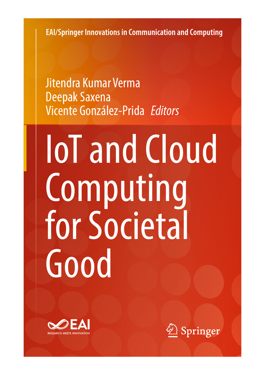**EAI/Springer Innovations in Communication and Computing**

Jitendra Kumar Verma Deepak Saxena Vicente González-Prida *Editors*

# IoT and Cloud Computing for Societal Good



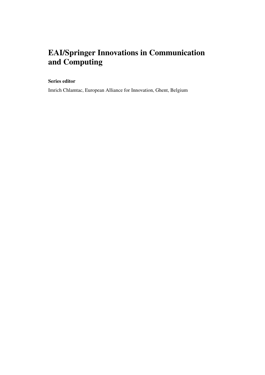# **EAI/Springer Innovations in Communication and Computing**

#### **Series editor**

Imrich Chlamtac, European Alliance for Innovation, Ghent, Belgium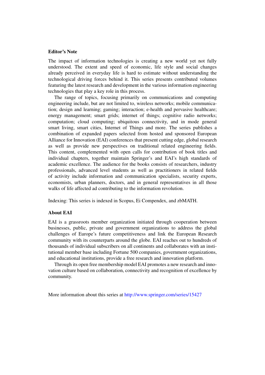#### **Editor's Note**

The impact of information technologies is creating a new world yet not fully understood. The extent and speed of economic, life style and social changes already perceived in everyday life is hard to estimate without understanding the technological driving forces behind it. This series presents contributed volumes featuring the latest research and development in the various information engineering technologies that play a key role in this process.

The range of topics, focusing primarily on communications and computing engineering include, but are not limited to, wireless networks; mobile communication; design and learning; gaming; interaction; e-health and pervasive healthcare; energy management; smart grids; internet of things; cognitive radio networks; computation; cloud computing; ubiquitous connectivity, and in mode general smart living, smart cities, Internet of Things and more. The series publishes a combination of expanded papers selected from hosted and sponsored European Alliance for Innovation (EAI) conferences that present cutting edge, global research as well as provide new perspectives on traditional related engineering fields. This content, complemented with open calls for contribution of book titles and individual chapters, together maintain Springer's and EAI's high standards of academic excellence. The audience for the books consists of researchers, industry professionals, advanced level students as well as practitioners in related fields of activity include information and communication specialists, security experts, economists, urban planners, doctors, and in general representatives in all those walks of life affected ad contributing to the information revolution.

Indexing: This series is indexed in Scopus, Ei Compendex, and zbMATH.

#### **About EAI**

EAI is a grassroots member organization initiated through cooperation between businesses, public, private and government organizations to address the global challenges of Europe's future competitiveness and link the European Research community with its counterparts around the globe. EAI reaches out to hundreds of thousands of individual subscribers on all continents and collaborates with an institutional member base including Fortune 500 companies, government organizations, and educational institutions, provide a free research and innovation platform.

Through its open free membership model EAI promotes a new research and innovation culture based on collaboration, connectivity and recognition of excellence by community.

More information about this series at http://www.springer.com/series/15427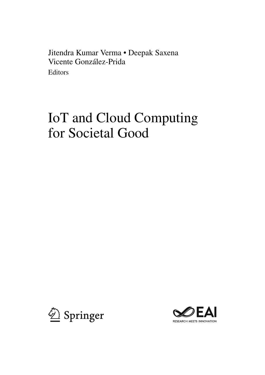Jitendra Kumar Verma • Deepak Saxena Vicente González-Prida Editors

# IoT and Cloud Computing for Societal Good



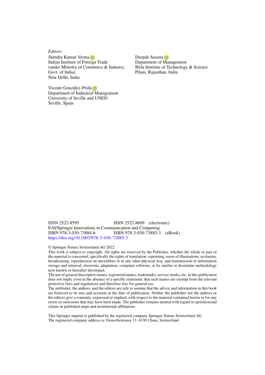*Editors* Jitendra Kumar Verma Indian Institute of Foreign Trade (under Ministry of Commerce & Industry, Govt. of India) New Delhi, India

Vicente González-Prida Department of Industrial Management University of Seville and UNED Seville, Spain

Deepak Saxena **D** Department of Management Birla Institute of Technology & Science Pilani, Rajasthan, India

ISSN 2522-8595 ISSN 2522-8609 (electronic) EAI/Springer Innovations in Communication and Computing ISBN 978-3-030-73884-6 ISBN 978-3-030-73885-3 (eBook) https://doi.org/10.1007/978-3-030-73885-3

#### © Springer Nature Switzerland AG 2022

This work is subject to copyright. All rights are reserved by the Publisher, whether the whole or part of the material is concerned, specifically the rights of translation, reprinting, reuse of illustrations, recitation, broadcasting, reproduction on microfilms or in any other physical way, and transmission or information storage and retrieval, electronic adaptation, computer software, or by similar or dissimilar methodology now known or hereafter developed.

The use of general descriptive names, registered names, trademarks, service marks, etc. in this publication does not imply, even in the absence of a specific statement, that such names are exempt from the relevant protective laws and regulations and therefore free for general use.

The publisher, the authors, and the editors are safe to assume that the advice and information in this book are believed to be true and accurate at the date of publication. Neither the publisher nor the authors or the editors give a warranty, expressed or implied, with respect to the material contained herein or for any errors or omissions that may have been made. The publisher remains neutral with regard to jurisdictional claims in published maps and institutional affiliations.

This Springer imprint is published by the registered company Springer Nature Switzerland AG The registered company address is: Gewerbestrasse 11, 6330 Cham, Switzerland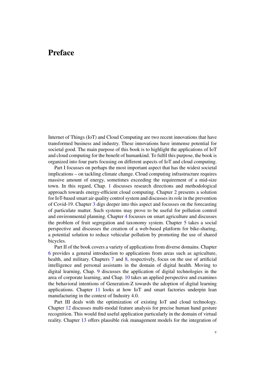## **Preface**

Internet of Things (IoT) and Cloud Computing are two recent innovations that have transformed business and industry. These innovations have immense potential for societal good. The main purpose of this book is to highlight the applications of IoT and cloud computing for the benefit of humankind. To fulfil this purpose, the book is organized into four parts focusing on different aspects of IoT and cloud computing.

Part I focusses on perhaps the most important aspect that has the widest societal implications – on tackling climate change. Cloud computing infrastructure requires massive amount of energy, sometimes exceeding the requirement of a mid-size town. In this regard, Chap. 1 discusses research directions and methodological approach towards energy-efficient cloud computing. Chapter 2 presents a solution for IoT-based smart air quality control system and discusses its role in the prevention of Covid-19. Chapter 3 digs deeper into this aspect and focusses on the forecasting of particulate matter. Such systems may prove to be useful for pollution control and environmental planning. Chapter 4 focusses on smart agriculture and discusses the problem of fruit segregation and taxonomy system. Chapter 5 takes a social perspective and discusses the creation of a web-based platform for bike-sharing, a potential solution to reduce vehicular pollution by promoting the use of shared bicycles.

Part II of the book covers a variety of applications from diverse domains. Chapter 6 provides a general introduction to applications from areas such as agriculture, health, and military. Chapters 7 and 8, respectively, focus on the use of artificial intelligence and personal assistants in the domain of digital health. Moving to digital learning, Chap. 9 discusses the application of digital technologies in the area of corporate learning, and Chap. 10 takes an applied perspective and examines the behavioral intentions of Generation-Z towards the adoption of digital learning applications. Chapter 11 looks at how IoT and smart factories underpin lean manufacturing in the context of Industry 4.0.

Part III deals with the optimization of existing IoT and cloud technology. Chapter 12 discusses multi-modal feature analysis for precise human hand gesture recognition. This would find useful application particularly in the domain of virtual reality. Chapter 13 offers plausible risk management models for the integration of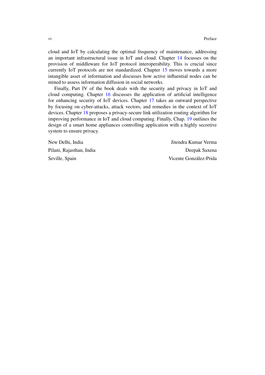cloud and IoT by calculating the optimal frequency of maintenance, addressing an important infrastructural issue in IoT and cloud. Chapter 14 focusses on the provision of middleware for IoT protocol interoperability. This is crucial since currently IoT protocols are not standardized. Chapter 15 moves towards a more intangible asset of information and discusses how active influential nodes can be mined to assess information diffusion in social networks.

Finally, Part IV of the book deals with the security and privacy in IoT and cloud computing. Chapter 16 discusses the application of artificial intelligence for enhancing security of IoT devices. Chapter 17 takes an outward perspective by focusing on cyber-attacks, attack vectors, and remedies in the context of IoT devices. Chapter 18 proposes a privacy-secure link utilization routing algorithm for improving performance in IoT and cloud computing. Finally, Chap. 19 outlines the design of a smart home appliances controlling application with a highly secretive system to ensure privacy.

New Delhi, India Jitendra Kumar Verma

Pilani, Rajasthan, India Deepak Saxena Seville, Spain Vicente González-Prida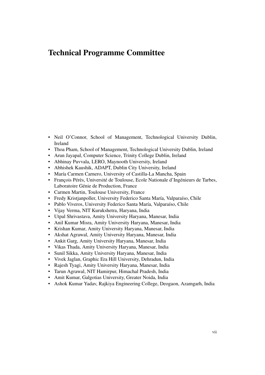## **Technical Programme Committee**

- Neil O'Connor, School of Management, Technological University Dublin, Ireland
- Thoa Pham, School of Management, Technological University Dublin, Ireland
- Arun Jayapal, Computer Science, Trinity College Dublin, Ireland
- Abhinay Puvvala, LERO, Maynooth University, Ireland
- Abhishek Kaushik, ADAPT, Dublin City University, Ireland
- María Carmen Carnero, University of Castilla-La Mancha, Spain
- François Pérès, Université de Toulouse, Ecole Nationale d'Ingénieurs de Tarbes, Laboratoire Génie de Production, France
- Carmen Martin, Toulouse University, France
- Fredy Kristjanpoller, University Federico Santa María, Valparaíso, Chile
- Pablo Viveros, University Federico Santa María, Valparaíso, Chile
- Vijay Verma, NIT Kurukshetra, Haryana, India
- Utpal Shrivastava, Amity University Haryana, Manesar, India
- Anil Kumar Misra, Amity University Haryana, Manesar, India
- Krishan Kumar, Amity University Haryana, Manesar, India
- Akshat Agrawal, Amity University Haryana, Manesar, India
- Ankit Garg, Amity University Haryana, Manesar, India
- Vikas Thada, Amity University Haryana, Manesar, India
- Sunil Sikka, Amity University Haryana, Manesar, India
- Vivek Jaglan, Graphic Era Hill University, Dehradun, India
- Rajesh Tyagi, Amity University Haryana, Manesar, India
- Tarun Agrawal, NIT Hamirpur, Himachal Pradesh, India
- Amit Kumar, Galgotias University, Greater Noida, India
- Ashok Kumar Yadav, Rajkiya Engineering College, Deogaon, Azamgarh, India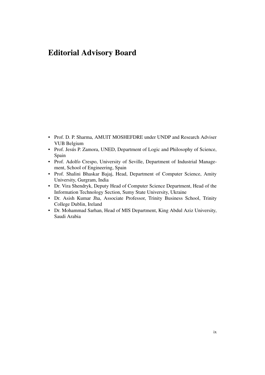# **Editorial Advisory Board**

- Prof. D. P. Sharma, AMUIT MOSHEFDRE under UNDP and Research Adviser VUB Belgium
- Prof. Jesús P. Zamora, UNED, Department of Logic and Philosophy of Science, Spain
- Prof. Adolfo Crespo, University of Seville, Department of Industrial Management, School of Engineering, Spain
- Prof. Shalini Bhaskar Bajaj, Head, Department of Computer Science, Amity University, Gurgram, India
- Dr. Vira Shendryk, Deputy Head of Computer Science Department, Head of the Information Technology Section, Sumy State University, Ukraine
- Dr. Asish Kumar Jha, Associate Professor, Trinity Business School, Trinity College Dublin, Ireland
- Dr. Mohammad Sarhan, Head of MIS Department, King Abdul Aziz University, Saudi Arabia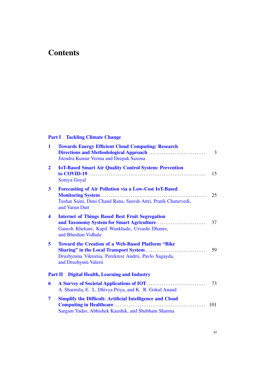# **Contents**

#### **Part I Tackling Climate Change**

| $\mathbf 1$             | <b>Towards Energy Efficient Cloud Computing: Research</b><br>Jitendra Kumar Verma and Deepak Saxena                                                                                            | 3   |
|-------------------------|------------------------------------------------------------------------------------------------------------------------------------------------------------------------------------------------|-----|
| $\overline{\mathbf{2}}$ | <b>IoT-Based Smart Air Quality Control System: Prevention</b><br>Somya Goyal                                                                                                                   | 15  |
| $\mathbf{3}$            | <b>Forecasting of Air Pollution via a Low-Cost IoT-Based</b><br>Tushar Saini, Duni Chand Rana, Suresh Attri, Pratik Chaturvedi,<br>and Varun Dutt                                              | 25  |
| $\blacktriangleleft$    | <b>Internet of Things Based Best Fruit Segregation</b><br>Ganesh Khekare, Kapil Wankhade, Urvashi Dhanre,<br>and Bhushan Vidhale                                                               | 37  |
| 5                       | <b>Toward the Creation of a Web-Based Platform "Bike"</b><br><b>Sharing" in the Local Transport System </b><br>Druzhynina Viktoriia, Perekrest Andrii, Pavlo Sagayda,<br>and Druzhynin Valerii | 59  |
| <b>Part II</b>          | <b>Digital Health, Learning and Industry</b>                                                                                                                                                   |     |
| 6                       | A. Sharmila, E. L. Dhivya Priya, and K. R. Gokul Anand                                                                                                                                         | 73  |
| $\overline{7}$          | <b>Simplify the Difficult: Artificial Intelligence and Cloud</b><br>Sargam Yadav, Abhishek Kaushik, and Shubham Sharma                                                                         | 101 |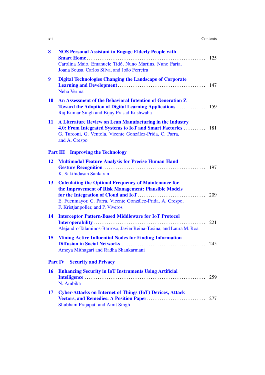| $\cdot$ . |          |
|-----------|----------|
| X11       | Contents |
|           |          |

| 8         | <b>NOS Personal Assistant to Engage Elderly People with</b>                                                                                                                                                            |     |
|-----------|------------------------------------------------------------------------------------------------------------------------------------------------------------------------------------------------------------------------|-----|
|           | Carolina Maio, Emanuele Tidó, Nuno Martins, Nuno Faria,<br>Joana Sousa, Carlos Silva, and João Ferreira                                                                                                                |     |
| 9         | <b>Digital Technologies Changing the Landscape of Corporate</b><br>Neha Verma                                                                                                                                          |     |
| <b>10</b> | An Assessment of the Behavioral Intention of Generation Z<br>Raj Kumar Singh and Bijay Prasad Kushwaha                                                                                                                 |     |
| 11        | A Literature Review on Lean Manufacturing in the Industry<br><b>4.0: From Integrated Systems to IoT and Smart Factories </b> 181<br>G. Turconi, G. Ventola, Vicente González-Prida, C. Parra,<br>and A. Crespo         |     |
|           | <b>Part III</b> Improving the Technology                                                                                                                                                                               |     |
| 12        | <b>Multimodal Feature Analysis for Precise Human Hand</b><br>K. Sakthidasan Sankaran                                                                                                                                   |     |
| 13        | <b>Calculating the Optimal Frequency of Maintenance for</b><br>the Improvement of Risk Management: Plausible Models<br>E. Fuenmayor, C. Parra, Vicente González-Prida, A. Crespo,<br>F. Kristjanpoller, and P. Viveros |     |
| 14        | <b>Interceptor Pattern-Based Middleware for IoT Protocol</b><br>Alejandro Talaminos-Barroso, Javier Reina-Tosina, and Laura M. Roa                                                                                     |     |
| 15        | <b>Mining Active Influential Nodes for Finding Information</b><br>Ameya Mithagari and Radha Shankarmani                                                                                                                |     |
|           | <b>Part IV</b><br><b>Security and Privacy</b>                                                                                                                                                                          |     |
| 16        | <b>Enhancing Security in IoT Instruments Using Artificial</b><br>N. Ambika                                                                                                                                             | 259 |
| 17        | <b>Cyber-Attacks on Internet of Things (IoT) Devices, Attack</b><br>Shubham Prajapati and Amit Singh                                                                                                                   |     |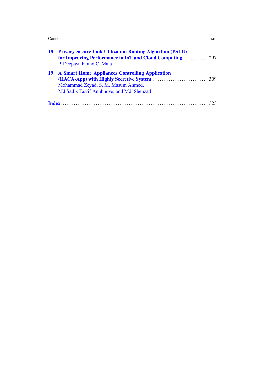#### **Contents** xiii

| <b>18</b> | <b>Privacy-Secure Link Utilization Routing Algorithm (PSLU)</b><br>P. Deepavathi and C. Mala                                              |     |
|-----------|-------------------------------------------------------------------------------------------------------------------------------------------|-----|
| -19       | <b>A Smart Home Appliances Controlling Application</b><br>Mohammad Zeyad, S. M. Masum Ahmed,<br>Md Sadik Tasrif Anubhove, and Md. Shehzad |     |
|           |                                                                                                                                           | 323 |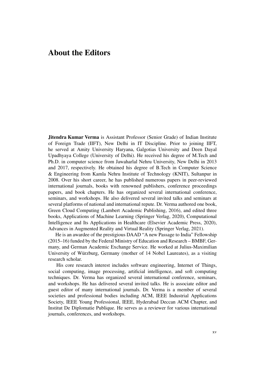#### **About the Editors**

**Jitendra Kumar Verma** is Assistant Professor (Senior Grade) of Indian Institute of Foreign Trade (IIFT), New Delhi in IT Discipline. Prior to joining IIFT, he served at Amity University Haryana, Galgotias University and Deen Dayal Upadhyaya College (University of Delhi). He received his degree of M.Tech and Ph.D. in computer science from Jawaharlal Nehru University, New Delhi in 2013 and 2017, respectively. He obtained his degree of B.Tech in Computer Science & Engineering from Kamla Nehru Institute of Technology (KNIT), Sultanpur in 2008. Over his short career, he has published numerous papers in peer-reviewed international journals, books with renowned publishers, conference proceedings papers, and book chapters. He has organized several international conference, seminars, and workshops. He also delivered several invited talks and seminars at several platforms of national and international repute. Dr. Verma authored one book, Green Cloud Computing (Lambert Academic Publishing, 2016), and edited three books, Applications of Machine Learning (Springer Verlag, 2020), Computational Intelligence and Its Applications in Healthcare (Elsevier Academic Press, 2020), Advances in Augmented Reality and Virtual Reality (Springer Verlag, 2021).

He is an awardee of the prestigious DAAD "A new Passage to India" Fellowship (2015–16) funded by the Federal Ministry of Education and Research – BMBF, Germany, and German Academic Exchange Service. He worked at Julius-Maximilian University of Würzburg, Germany (mother of 14 Nobel Laureates), as a visiting research scholar.

His core research interest includes software engineering, Internet of Things, social computing, image processing, artificial intelligence, and soft computing techniques. Dr. Verma has organized several international conference, seminars, and workshops. He has delivered several invited talks. He is associate editor and guest editor of many international journals. Dr. Verma is a member of several societies and professional bodies including ACM, IEEE Industrial Applications Society, IEEE Young Professional, IEEE, Hyderabad Deccan ACM Chapter, and Institut De Diplomatie Publique. He serves as a reviewer for various international journals, conferences, and workshops.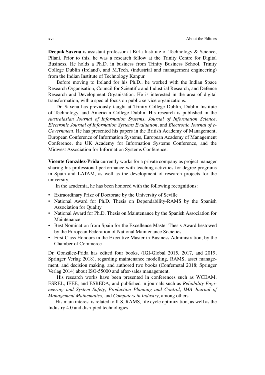**Deepak Saxena** is assistant professor at Birla Institute of Technology & Science, Pilani. Prior to this, he was a research fellow at the Trinity Centre for Digital Business. He holds a Ph.D. in business from Trinity Business School, Trinity College Dublin (Ireland), and M.Tech. (industrial and management engineering) from the Indian Institute of Technology Kanpur.

Before moving to Ireland for his Ph.D., he worked with the Indian Space Research Organisation, Council for Scientific and Industrial Research, and Defence Research and Development Organisation. He is interested in the area of digital transformation, with a special focus on public service organizations.

Dr. Saxena has previously taught at Trinity College Dublin, Dublin Institute of Technology, and American College Dublin. His research is published in the *Australasian Journal of Information Systems*, *Journal of Information Science*, *Electronic Journal of Information Systems Evaluation*, and *Electronic Journal of e-Government*. He has presented his papers in the British Academy of Management, European Conference of Information Systems, European Academy of Management Conference, the UK Academy for Information Systems Conference, and the Midwest Association for Information Systems Conference.

**Vicente González-Prida** currently works for a private company as project manager sharing his professional performance with teaching activities for degree programs in Spain and LATAM, as well as the development of research projects for the university.

In the academia, he has been honored with the following recognitions:

- Extraordinary Prize of Doctorate by the University of Seville
- National Award for Ph.D. Thesis on Dependability-RAMS by the Spanish Association for Quality
- National Award for Ph.D. Thesis on Maintenance by the Spanish Association for Maintenance
- Best Nomination from Spain for the Excellence Master Thesis Award bestowed by the European Federation of National Maintenance Societies
- First Class Honours in the Executive Master in Business Administration, by the Chamber of Commerce

Dr. González-Prida has edited four books, (IGI-Global 2015, 2017, and 2019; Springer Verlag 2018), regarding maintenance modelling, RAMS, asset management, and decision making, and authored two books (Confemetal 2018; Springer Verlag 2014) about ISO-55000 and after-sales management.

His research works have been presented in conferences such as WCEAM, ESREL, IEEE, and ESREDA, and published in journals such as *Reliability Engineering and System Safety*, *Production Planning and Control*, *IMA Journal of Management Mathematics*, and *Computers in Industry*, among others.

His main interest is related to ILS, RAMS, life cycle optimization, as well as the Industry 4.0 and disrupted technologies.